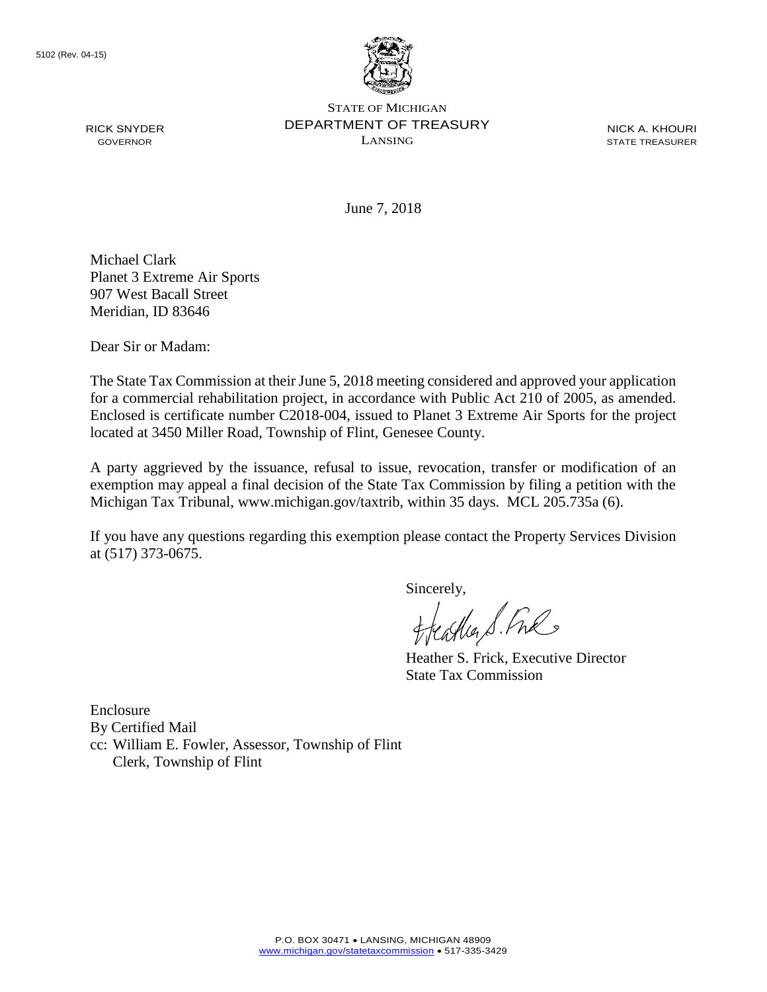

STATE OF MICHIGAN DEPARTMENT OF TREASURY LANSING

NICK A. KHOURI STATE TREASURER

June 7, 2018

Michael Clark Planet 3 Extreme Air Sports 907 West Bacall Street Meridian, ID 83646

Dear Sir or Madam:

RICK SNYDER GOVERNOR

The State Tax Commission at their June 5, 2018 meeting considered and approved your application for a commercial rehabilitation project, in accordance with Public Act 210 of 2005, as amended. Enclosed is certificate number C2018-004, issued to Planet 3 Extreme Air Sports for the project located at 3450 Miller Road, Township of Flint, Genesee County.

A party aggrieved by the issuance, refusal to issue, revocation, transfer or modification of an exemption may appeal a final decision of the State Tax Commission by filing a petition with the Michigan Tax Tribunal, www.michigan.gov/taxtrib, within 35 days. MCL 205.735a (6).

If you have any questions regarding this exemption please contact the Property Services Division at (517) 373-0675.

Sincerely,

Castler S. Free

Heather S. Frick, Executive Director State Tax Commission

Enclosure By Certified Mail cc: William E. Fowler, Assessor, Township of Flint Clerk, Township of Flint